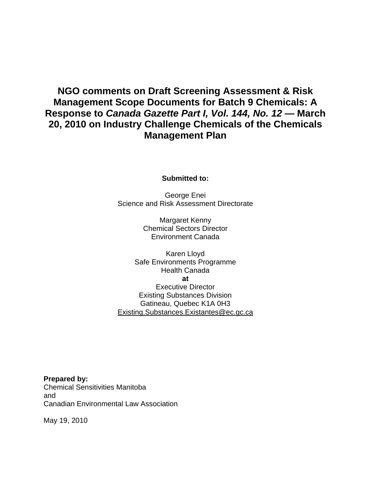# **NGO comments on Draft Screening Assessment & Risk Management Scope Documents for Batch 9 Chemicals: A Response to** *Canada Gazette Part I, Vol. 144, No. 12* **— March 20, 2010 on Industry Challenge Chemicals of the Chemicals Management Plan**

**Submitted to:** 

George Enei Science and Risk Assessment Directorate

> Margaret Kenny Chemical Sectors Director Environment Canada

Karen Lloyd Safe Environments Programme Health Canada **at**  Executive Director Existing Substances Division Gatineau, Quebec K1A 0H3 Existing.Substances.Existantes@ec.gc.ca

**Prepared by:**  Chemical Sensitivities Manitoba and Canadian Environmental Law Association

May 19, 2010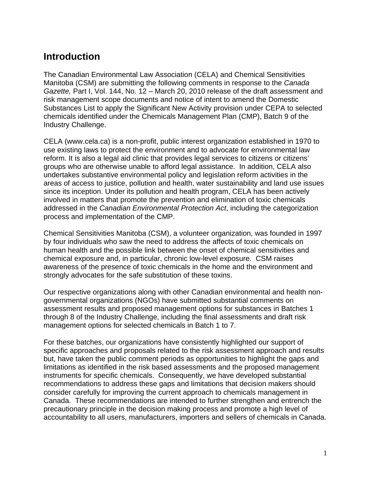# **Introduction**

The Canadian Environmental Law Association (CELA) and Chemical Sensitivities Manitoba (CSM) are submitting the following comments in response to the *Canada Gazette,* Part I, Vol. 144, No. 12 – March 20, 2010 release of the draft assessment and risk management scope documents and notice of intent to amend the Domestic Substances List to apply the Significant New Activity provision under CEPA to selected chemicals identified under the Chemicals Management Plan (CMP), Batch 9 of the Industry Challenge.

CELA (www.cela.ca) is a non-profit, public interest organization established in 1970 to use existing laws to protect the environment and to advocate for environmental law reform. It is also a legal aid clinic that provides legal services to citizens or citizens' groups who are otherwise unable to afford legal assistance. In addition, CELA also undertakes substantive environmental policy and legislation reform activities in the areas of access to justice, pollution and health, water sustainability and land use issues since its inception. Under its pollution and health program, CELA has been actively involved in matters that promote the prevention and elimination of toxic chemicals addressed in the *Canadian Environmental Protection Act*, including the categorization process and implementation of the CMP.

Chemical Sensitivities Manitoba (CSM), a volunteer organization, was founded in 1997 by four individuals who saw the need to address the affects of toxic chemicals on human health and the possible link between the onset of chemical sensitivities and chemical exposure and, in particular, chronic low-level exposure. CSM raises awareness of the presence of toxic chemicals in the home and the environment and strongly advocates for the safe substitution of these toxins.

Our respective organizations along with other Canadian environmental and health nongovernmental organizations (NGOs) have submitted substantial comments on assessment results and proposed management options for substances in Batches 1 through 8 of the Industry Challenge, including the final assessments and draft risk management options for selected chemicals in Batch 1 to 7.

For these batches, our organizations have consistently highlighted our support of specific approaches and proposals related to the risk assessment approach and results but, have taken the public comment periods as opportunities to highlight the gaps and limitations as identified in the risk based assessments and the proposed management instruments for specific chemicals. Consequently, we have developed substantial recommendations to address these gaps and limitations that decision makers should consider carefully for improving the current approach to chemicals management in Canada. These recommendations are intended to further strengthen and entrench the precautionary principle in the decision making process and promote a high level of accountability to all users, manufacturers, importers and sellers of chemicals in Canada.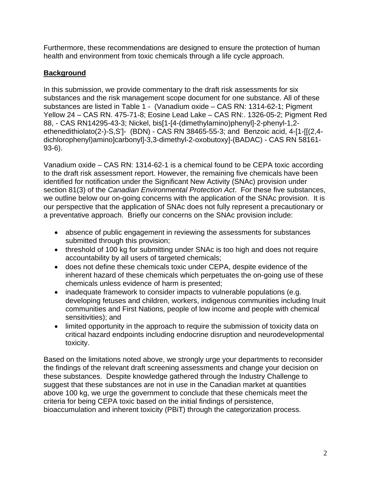Furthermore, these recommendations are designed to ensure the protection of human health and environment from toxic chemicals through a life cycle approach.

# **Background**

In this submission, we provide commentary to the draft risk assessments for six substances and the risk management scope document for one substance. All of these substances are listed in Table 1 - (Vanadium oxide – CAS RN: 1314-62-1; Pigment Yellow 24 – CAS RN. 475-71-8; Eosine Lead Lake – CAS RN:. 1326-05-2; Pigment Red 88, - CAS RN14295-43-3; Nickel, bis[1-[4-(dimethylamino)phenyl]-2-phenyl-1,2 ethenedithiolato(2-)-S,S']- (BDN) - CAS RN 38465-55-3; and Benzoic acid, 4-[1-[[(2,4 dichlorophenyl)amino]carbonyl]-3,3-dimethyl-2-oxobutoxy]-(BADAC) - CAS RN 58161- 93-6).

Vanadium oxide – CAS RN: 1314-62-1 is a chemical found to be CEPA toxic according to the draft risk assessment report. However, the remaining five chemicals have been identified for notification under the Significant New Activity (SNAc) provision under section 81(3) of the *Canadian Environmental Protection Act*. For these five substances, we outline below our on-going concerns with the application of the SNAc provision. It is our perspective that the application of SNAc does not fully represent a precautionary or a preventative approach. Briefly our concerns on the SNAc provision include:

- absence of public engagement in reviewing the assessments for substances submitted through this provision;
- threshold of 100 kg for submitting under SNAc is too high and does not require accountability by all users of targeted chemicals;
- does not define these chemicals toxic under CEPA, despite evidence of the inherent hazard of these chemicals which perpetuates the on-going use of these chemicals unless evidence of harm is presented;
- inadequate framework to consider impacts to vulnerable populations (e.g. developing fetuses and children, workers, indigenous communities including Inuit communities and First Nations, people of low income and people with chemical sensitivities); and
- limited opportunity in the approach to require the submission of toxicity data on critical hazard endpoints including endocrine disruption and neurodevelopmental toxicity.

Based on the limitations noted above, we strongly urge your departments to reconsider the findings of the relevant draft screening assessments and change your decision on these substances. Despite knowledge gathered through the Industry Challenge to suggest that these substances are not in use in the Canadian market at quantities above 100 kg, we urge the government to conclude that these chemicals meet the criteria for being CEPA toxic based on the initial findings of persistence, bioaccumulation and inherent toxicity (PBiT) through the categorization process.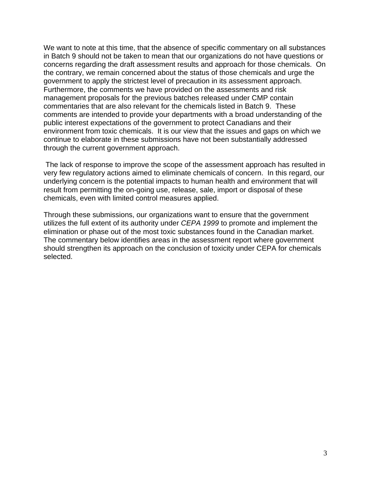We want to note at this time, that the absence of specific commentary on all substances in Batch 9 should not be taken to mean that our organizations do not have questions or concerns regarding the draft assessment results and approach for those chemicals. On the contrary, we remain concerned about the status of those chemicals and urge the government to apply the strictest level of precaution in its assessment approach. Furthermore, the comments we have provided on the assessments and risk management proposals for the previous batches released under CMP contain commentaries that are also relevant for the chemicals listed in Batch 9. These comments are intended to provide your departments with a broad understanding of the public interest expectations of the government to protect Canadians and their environment from toxic chemicals. It is our view that the issues and gaps on which we continue to elaborate in these submissions have not been substantially addressed through the current government approach.

 The lack of response to improve the scope of the assessment approach has resulted in very few regulatory actions aimed to eliminate chemicals of concern. In this regard, our underlying concern is the potential impacts to human health and environment that will result from permitting the on-going use, release, sale, import or disposal of these chemicals, even with limited control measures applied.

Through these submissions, our organizations want to ensure that the government utilizes the full extent of its authority under *CEPA 1999* to promote and implement the elimination or phase out of the most toxic substances found in the Canadian market. The commentary below identifies areas in the assessment report where government should strengthen its approach on the conclusion of toxicity under CEPA for chemicals selected.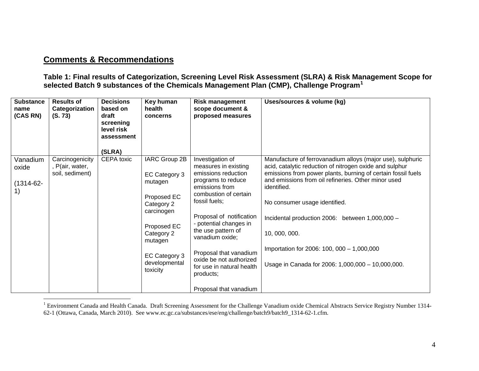# **Comments & Recommendations**

**Table 1: Final results of Categorization, Screening Level Risk Assessment (SLRA) & Risk Management Scope for selected Batch 9 substances of the Chemicals Management Plan (CMP), Challenge Program[1](#page-4-0)**

| <b>Substance</b><br>name<br>(CAS RN)      | <b>Results of</b><br>Categorization<br>(S. 73)        | <b>Decisions</b><br>based on<br>draft<br>screening<br>level risk<br>assessment<br>(SLRA) | Key human<br>health<br>concerns                                                                                                                                            | <b>Risk management</b><br>scope document &<br>proposed measures                                                                                                                                                                                                                                                                                                           | Uses/sources & volume (kg)                                                                                                                                                                                                                                                                                                                                                                                                                                          |
|-------------------------------------------|-------------------------------------------------------|------------------------------------------------------------------------------------------|----------------------------------------------------------------------------------------------------------------------------------------------------------------------------|---------------------------------------------------------------------------------------------------------------------------------------------------------------------------------------------------------------------------------------------------------------------------------------------------------------------------------------------------------------------------|---------------------------------------------------------------------------------------------------------------------------------------------------------------------------------------------------------------------------------------------------------------------------------------------------------------------------------------------------------------------------------------------------------------------------------------------------------------------|
| Vanadium<br>oxide<br>$(1314 - 62 -$<br>1) | Carcinogenicity<br>, P(air, water,<br>soil, sediment) | CEPA toxic                                                                               | IARC Group 2B<br>EC Category 3<br>mutagen<br>Proposed EC<br>Category 2<br>carcinogen<br>Proposed EC<br>Category 2<br>mutagen<br>EC Category 3<br>developmental<br>toxicity | Investigation of<br>measures in existing<br>emissions reduction<br>programs to reduce<br>emissions from<br>combustion of certain<br>fossil fuels;<br>Proposal of notification<br>- potential changes in<br>the use pattern of<br>vanadium oxide;<br>Proposal that vanadium<br>oxide be not authorized<br>for use in natural health<br>products;<br>Proposal that vanadium | Manufacture of ferrovanadium alloys (major use), sulphuric<br>acid, catalytic reduction of nitrogen oxide and sulphur<br>emissions from power plants, burning of certain fossil fuels<br>and emissions from oil refineries. Other minor used<br>identified.<br>No consumer usage identified.<br>Incidental production 2006: between 1,000,000 -<br>10, 000, 000.<br>Importation for 2006: 100, 000 - 1,000,000<br>Usage in Canada for 2006: 1,000,000 - 10,000,000. |

<span id="page-4-0"></span><sup>&</sup>lt;sup>1</sup> Environment Canada and Health Canada. Draft Screening Assessment for the Challenge Vanadium oxide Chemical Abstracts Service Registry Number 1314-62-1 (Ottawa, Canada, March 2010). See www.ec.gc.ca/substances/ese/eng/challenge/batch9/batch9\_1314-62-1.cfm.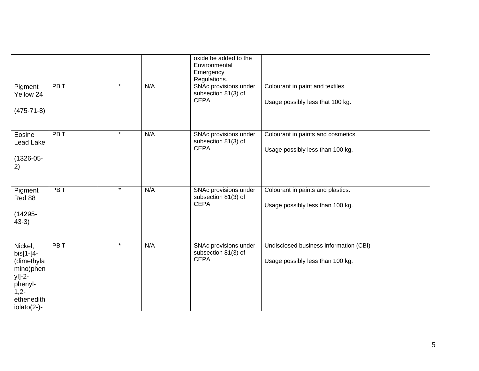|                                                                                                                    |             |         |     | oxide be added to the<br>Environmental<br>Emergency<br>Regulations. |                                                                            |
|--------------------------------------------------------------------------------------------------------------------|-------------|---------|-----|---------------------------------------------------------------------|----------------------------------------------------------------------------|
| Pigment<br>Yellow 24<br>$(475 - 71 - 8)$                                                                           | <b>PBiT</b> | $\star$ | N/A | SNAc provisions under<br>subsection 81(3) of<br><b>CEPA</b>         | Colourant in paint and textiles<br>Usage possibly less that 100 kg.        |
| Eosine<br>Lead Lake<br>$(1326 - 05 -$<br>2)                                                                        | <b>PBiT</b> | $\star$ | N/A | SNAc provisions under<br>subsection 81(3) of<br><b>CEPA</b>         | Colourant in paints and cosmetics.<br>Usage possibly less than 100 kg.     |
| Pigment<br>Red 88<br>$(14295 -$<br>$43-3)$                                                                         | <b>PBiT</b> | $\star$ | N/A | SNAc provisions under<br>subsection 81(3) of<br><b>CEPA</b>         | Colourant in paints and plastics.<br>Usage possibly less than 100 kg.      |
| Nickel,<br>$bis[1 - 4 -$<br>(dimethyla<br>mino)phen<br>yl]-2-<br>phenyl-<br>$1,2-$<br>ethenedith<br>$iolato(2-)$ - | <b>PBiT</b> | $\star$ | N/A | SNAc provisions under<br>subsection 81(3) of<br><b>CEPA</b>         | Undisclosed business information (CBI)<br>Usage possibly less than 100 kg. |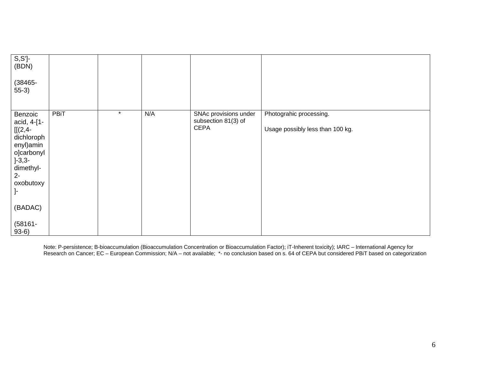| $S, S'$ ]-<br>(BDN)<br>$(38465 -$<br>$55-3)$                                                                                     |      |         |     |                                                             |                                                             |
|----------------------------------------------------------------------------------------------------------------------------------|------|---------|-----|-------------------------------------------------------------|-------------------------------------------------------------|
| Benzoic<br>acid, 4-[1-<br>$[[(2,4-$<br>dichloroph<br>enyl)amin<br>o]carbonyl<br>$]-3,3-$<br>dimethyl-<br>$2-$<br>oxobutoxy<br>ŀ. | PBiT | $\star$ | N/A | SNAc provisions under<br>subsection 81(3) of<br><b>CEPA</b> | Photograhic processing.<br>Usage possibly less than 100 kg. |
| (BADAC)                                                                                                                          |      |         |     |                                                             |                                                             |
| $(58161 -$<br>$93-6)$                                                                                                            |      |         |     |                                                             |                                                             |

Note: P-persistence; B-bioaccumulation (Bioaccumulation Concentration or Bioaccumulation Factor); iT-Inherent toxicity); IARC – International Agency for Research on Cancer; EC – European Commission; N/A – not available; \*- no conclusion based on s. 64 of CEPA but considered PBiT based on categorization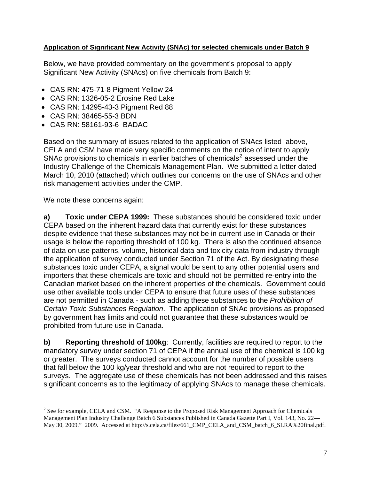# <span id="page-7-0"></span>**Application of Significant New Activity (SNAc) for selected chemicals under Batch 9**

Below, we have provided commentary on the government's proposal to apply Significant New Activity (SNAcs) on five chemicals from Batch 9:

- CAS RN: 475-71-8 Pigment Yellow 24
- CAS RN: 1326-05-2 Erosine Red Lake
- CAS RN: 14295-43-3 Pigment Red 88
- CAS RN: 38465-55-3 BDN
- CAS RN: 58161-93-6 BADAC

Based on the summary of issues related to the application of SNAcs listed above, CELA and CSM have made very specific comments on the notice of intent to apply SNAc provisions to chemicals in earlier batches of chemicals<sup>[2](#page-7-0)</sup> assessed under the Industry Challenge of the Chemicals Management Plan. We submitted a letter dated March 10, 2010 (attached) which outlines our concerns on the use of SNAcs and other risk management activities under the CMP.

We note these concerns again:

 $\overline{a}$ 

**a) Toxic under CEPA 1999:** These substances should be considered toxic under CEPA based on the inherent hazard data that currently exist for these substances despite evidence that these substances may not be in current use in Canada or their usage is below the reporting threshold of 100 kg. There is also the continued absence of data on use patterns, volume, historical data and toxicity data from industry through the application of survey conducted under Section 71 of the Act. By designating these substances toxic under CEPA, a signal would be sent to any other potential users and importers that these chemicals are toxic and should not be permitted re-entry into the Canadian market based on the inherent properties of the chemicals. Government could use other available tools under CEPA to ensure that future uses of these substances are not permitted in Canada - such as adding these substances to the *Prohibition of Certain Toxic Substances Regulation*. The application of SNAc provisions as proposed by government has limits and could not guarantee that these substances would be prohibited from future use in Canada.

**b) Reporting threshold of 100kg**: Currently, facilities are required to report to the mandatory survey under section 71 of CEPA if the annual use of the chemical is 100 kg or greater. The surveys conducted cannot account for the number of possible users that fall below the 100 kg/year threshold and who are not required to report to the surveys. The aggregate use of these chemicals has not been addressed and this raises significant concerns as to the legitimacy of applying SNAcs to manage these chemicals.

<sup>&</sup>lt;sup>2</sup> See for example, CELA and CSM. "A Response to the Proposed Risk Management Approach for Chemicals Management Plan Industry Challenge Batch 6 Substances Published in Canada Gazette Part I, Vol. 143, No. 22— May 30, 2009." 2009. Accessed at http://s.cela.ca/files/661\_CMP\_CELA\_and\_CSM\_batch\_6\_SLRA%20final.pdf.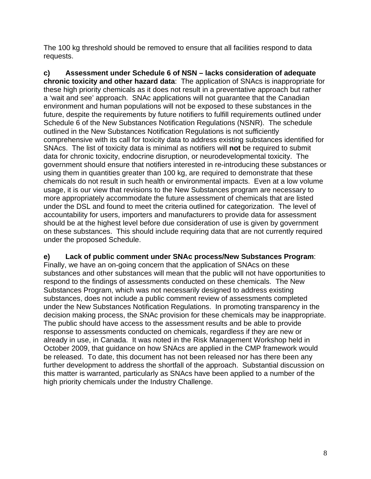The 100 kg threshold should be removed to ensure that all facilities respond to data requests.

**c) Assessment under Schedule 6 of NSN – lacks consideration of adequate chronic toxicity and other hazard data**: The application of SNAcs is inappropriate for these high priority chemicals as it does not result in a preventative approach but rather a 'wait and see' approach. SNAc applications will not guarantee that the Canadian environment and human populations will not be exposed to these substances in the future, despite the requirements by future notifiers to fulfill requirements outlined under Schedule 6 of the New Substances Notification Regulations (NSNR). The schedule outlined in the New Substances Notification Regulations is not sufficiently comprehensive with its call for toxicity data to address existing substances identified for SNAcs. The list of toxicity data is minimal as notifiers will **not** be required to submit data for chronic toxicity, endocrine disruption, or neurodevelopmental toxicity. The government should ensure that notifiers interested in re-introducing these substances or using them in quantities greater than 100 kg, are required to demonstrate that these chemicals do not result in such health or environmental impacts. Even at a low volume usage, it is our view that revisions to the New Substances program are necessary to more appropriately accommodate the future assessment of chemicals that are listed under the DSL and found to meet the criteria outlined for categorization. The level of accountability for users, importers and manufacturers to provide data for assessment should be at the highest level before due consideration of use is given by government on these substances. This should include requiring data that are not currently required under the proposed Schedule.

## **e) Lack of public comment under SNAc process/New Substances Program**:

Finally, we have an on-going concern that the application of SNAcs on these substances and other substances will mean that the public will not have opportunities to respond to the findings of assessments conducted on these chemicals. The New Substances Program, which was not necessarily designed to address existing substances, does not include a public comment review of assessments completed under the New Substances Notification Regulations. In promoting transparency in the decision making process, the SNAc provision for these chemicals may be inappropriate. The public should have access to the assessment results and be able to provide response to assessments conducted on chemicals, regardless if they are new or already in use, in Canada. It was noted in the Risk Management Workshop held in October 2009, that guidance on how SNAcs are applied in the CMP framework would be released. To date, this document has not been released nor has there been any further development to address the shortfall of the approach. Substantial discussion on this matter is warranted, particularly as SNAcs have been applied to a number of the high priority chemicals under the Industry Challenge.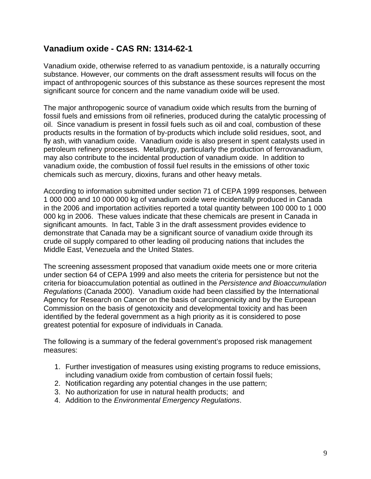# **Vanadium oxide - CAS RN: 1314-62-1**

Vanadium oxide, otherwise referred to as vanadium pentoxide, is a naturally occurring substance. However, our comments on the draft assessment results will focus on the impact of anthropogenic sources of this substance as these sources represent the most significant source for concern and the name vanadium oxide will be used.

The major anthropogenic source of vanadium oxide which results from the burning of fossil fuels and emissions from oil refineries, produced during the catalytic processing of oil. Since vanadium is present in fossil fuels such as oil and coal, combustion of these products results in the formation of by-products which include solid residues, soot, and fly ash, with vanadium oxide. Vanadium oxide is also present in spent catalysts used in petroleum refinery processes. Metallurgy, particularly the production of ferrovanadium, may also contribute to the incidental production of vanadium oxide. In addition to vanadium oxide, the combustion of fossil fuel results in the emissions of other toxic chemicals such as mercury, dioxins, furans and other heavy metals.

According to information submitted under section 71 of CEPA 1999 responses, between 1 000 000 and 10 000 000 kg of vanadium oxide were incidentally produced in Canada in the 2006 and importation activities reported a total quantity between 100 000 to 1 000 000 kg in 2006. These values indicate that these chemicals are present in Canada in significant amounts. In fact, Table 3 in the draft assessment provides evidence to demonstrate that Canada may be a significant source of vanadium oxide through its crude oil supply compared to other leading oil producing nations that includes the Middle East, Venezuela and the United States.

The screening assessment proposed that vanadium oxide meets one or more criteria under section 64 of CEPA 1999 and also meets the criteria for persistence but not the criteria for bioaccumulation potential as outlined in the *Persistence and Bioaccumulation Regulations* (Canada 2000). Vanadium oxide had been classified by the International Agency for Research on Cancer on the basis of carcinogenicity and by the European Commission on the basis of genotoxicity and developmental toxicity and has been identified by the federal government as a high priority as it is considered to pose greatest potential for exposure of individuals in Canada.

The following is a summary of the federal government's proposed risk management measures:

- 1. Further investigation of measures using existing programs to reduce emissions, including vanadium oxide from combustion of certain fossil fuels;
- 2. Notification regarding any potential changes in the use pattern;
- 3. No authorization for use in natural health products; and
- 4. Addition to the *Environmental Emergency Regulations*.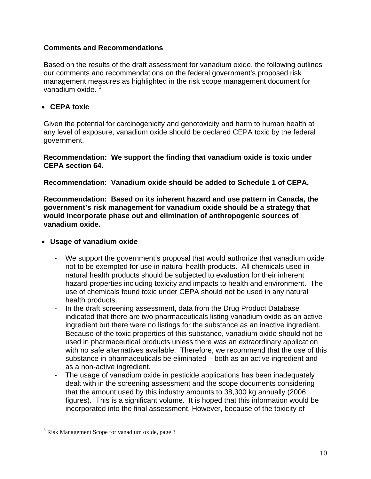# <span id="page-10-0"></span>**Comments and Recommendations**

Based on the results of the draft assessment for vanadium oxide, the following outlines our comments and recommendations on the federal government's proposed risk management measures as highlighted in the risk scope management document for vanadium oxide.<sup>[3](#page-10-0)</sup>

# • **CEPA toxic**

Given the potential for carcinogenicity and genotoxicity and harm to human health at any level of exposure, vanadium oxide should be declared CEPA toxic by the federal government.

# **Recommendation: We support the finding that vanadium oxide is toxic under CEPA section 64.**

**Recommendation: Vanadium oxide should be added to Schedule 1 of CEPA.** 

**Recommendation: Based on its inherent hazard and use pattern in Canada, the government's risk management for vanadium oxide should be a strategy that would incorporate phase out and elimination of anthropogenic sources of vanadium oxide.** 

# • **Usage of vanadium oxide**

- We support the government's proposal that would authorize that vanadium oxide not to be exempted for use in natural health products. All chemicals used in natural health products should be subjected to evaluation for their inherent hazard properties including toxicity and impacts to health and environment. The use of chemicals found toxic under CEPA should not be used in any natural health products.
- In the draft screening assessment, data from the Drug Product Database indicated that there are two pharmaceuticals listing vanadium oxide as an active ingredient but there were no listings for the substance as an inactive ingredient. Because of the toxic properties of this substance, vanadium oxide should not be used in pharmaceutical products unless there was an extraordinary application with no safe alternatives available. Therefore, we recommend that the use of this substance in pharmaceuticals be eliminated – both as an active ingredient and as a non-active ingredient.
- The usage of vanadium oxide in pesticide applications has been inadequately dealt with in the screening assessment and the scope documents considering that the amount used by this industry amounts to 38,300 kg annually (2006 figures). This is a significant volume. It is hoped that this information would be incorporated into the final assessment. However, because of the toxicity of

 $\overline{a}$ 

<sup>&</sup>lt;sup>3</sup> Risk Management Scope for vanadium oxide, page 3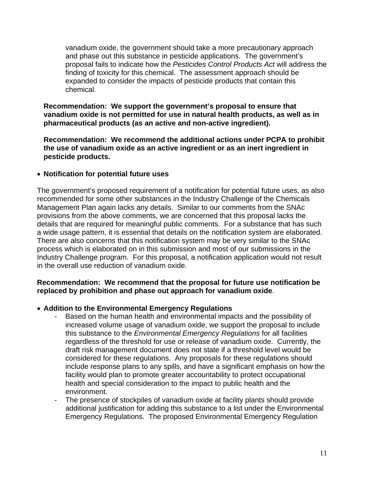vanadium oxide, the government should take a more precautionary approach and phase out this substance in pesticide applications. The government's proposal fails to indicate how the *Pesticides Control Products Act* will address the finding of toxicity for this chemical. The assessment approach should be expanded to consider the impacts of pesticide products that contain this chemical.

**Recommendation: We support the government's proposal to ensure that vanadium oxide is not permitted for use in natural health products, as well as in pharmaceutical products (as an active and non-active ingredient).** 

**Recommendation: We recommend the additional actions under PCPA to prohibit the use of vanadium oxide as an active ingredient or as an inert ingredient in pesticide products.** 

# • **Notification for potential future uses**

The government's proposed requirement of a notification for potential future uses, as also recommended for some other substances in the Industry Challenge of the Chemicals Management Plan again lacks any details. Similar to our comments from the SNAc provisions from the above comments, we are concerned that this proposal lacks the details that are required for meaningful public comments. For a substance that has such a wide usage pattern, it is essential that details on the notification system are elaborated. There are also concerns that this notification system may be very similar to the SNAc process which is elaborated on in this submission and most of our submissions in the Industry Challenge program. For this proposal, a notification application would not result in the overall use reduction of vanadium oxide.

# **Recommendation: We recommend that the proposal for future use notification be replaced by prohibition and phase out approach for vanadium oxide**.

## • **Addition to the Environmental Emergency Regulations**

- Based on the human health and environmental impacts and the possibility of increased volume usage of vanadium oxide, we support the proposal to include this substance to the *Environmental Emergency Regulations* for all facilities regardless of the threshold for use or release of vanadium oxide. Currently, the draft risk management document does not state if a threshold level would be considered for these regulations. Any proposals for these regulations should include response plans to any spills, and have a significant emphasis on how the facility would plan to promote greater accountability to protect occupational health and special consideration to the impact to public health and the environment.
- The presence of stockpiles of vanadium oxide at facility plants should provide additional justification for adding this substance to a list under the Environmental Emergency Regulations. The proposed Environmental Emergency Regulation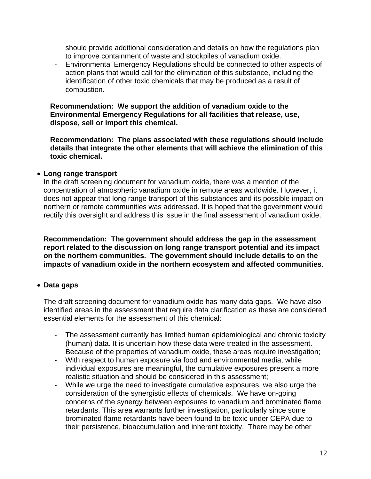should provide additional consideration and details on how the regulations plan to improve containment of waste and stockpiles of vanadium oxide.

- Environmental Emergency Regulations should be connected to other aspects of action plans that would call for the elimination of this substance, including the identification of other toxic chemicals that may be produced as a result of combustion.

**Recommendation: We support the addition of vanadium oxide to the Environmental Emergency Regulations for all facilities that release, use, dispose, sell or import this chemical.** 

**Recommendation: The plans associated with these regulations should include details that integrate the other elements that will achieve the elimination of this toxic chemical.** 

#### • **Long range transport**

In the draft screening document for vanadium oxide, there was a mention of the concentration of atmospheric vanadium oxide in remote areas worldwide. However, it does not appear that long range transport of this substances and its possible impact on northern or remote communities was addressed. It is hoped that the government would rectify this oversight and address this issue in the final assessment of vanadium oxide.

**Recommendation: The government should address the gap in the assessment report related to the discussion on long range transport potential and its impact on the northern communities. The government should include details to on the impacts of vanadium oxide in the northern ecosystem and affected communities**.

## • **Data gaps**

The draft screening document for vanadium oxide has many data gaps. We have also identified areas in the assessment that require data clarification as these are considered essential elements for the assessment of this chemical:

- The assessment currently has limited human epidemiological and chronic toxicity (human) data. It is uncertain how these data were treated in the assessment. Because of the properties of vanadium oxide, these areas require investigation;
- With respect to human exposure via food and environmental media, while individual exposures are meaningful, the cumulative exposures present a more realistic situation and should be considered in this assessment;
- While we urge the need to investigate cumulative exposures, we also urge the consideration of the synergistic effects of chemicals. We have on-going concerns of the synergy between exposures to vanadium and brominated flame retardants. This area warrants further investigation, particularly since some brominated flame retardants have been found to be toxic under CEPA due to their persistence, bioaccumulation and inherent toxicity. There may be other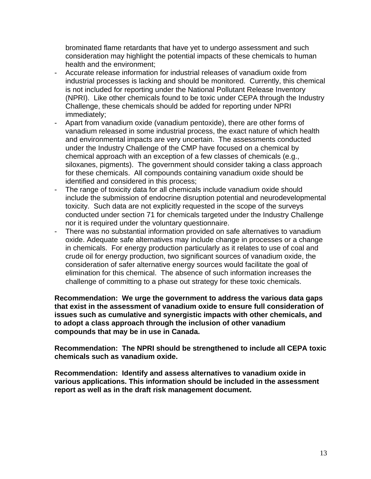brominated flame retardants that have yet to undergo assessment and such consideration may highlight the potential impacts of these chemicals to human health and the environment;

- Accurate release information for industrial releases of vanadium oxide from industrial processes is lacking and should be monitored. Currently, this chemical is not included for reporting under the National Pollutant Release Inventory (NPRI). Like other chemicals found to be toxic under CEPA through the Industry Challenge, these chemicals should be added for reporting under NPRI immediately;
- Apart from vanadium oxide (vanadium pentoxide), there are other forms of vanadium released in some industrial process, the exact nature of which health and environmental impacts are very uncertain. The assessments conducted under the Industry Challenge of the CMP have focused on a chemical by chemical approach with an exception of a few classes of chemicals (e.g., siloxanes, pigments). The government should consider taking a class approach for these chemicals. All compounds containing vanadium oxide should be identified and considered in this process;
- The range of toxicity data for all chemicals include vanadium oxide should include the submission of endocrine disruption potential and neurodevelopmental toxicity. Such data are not explicitly requested in the scope of the surveys conducted under section 71 for chemicals targeted under the Industry Challenge nor it is required under the voluntary questionnaire.
- There was no substantial information provided on safe alternatives to vanadium oxide. Adequate safe alternatives may include change in processes or a change in chemicals. For energy production particularly as it relates to use of coal and crude oil for energy production, two significant sources of vanadium oxide, the consideration of safer alternative energy sources would facilitate the goal of elimination for this chemical. The absence of such information increases the challenge of committing to a phase out strategy for these toxic chemicals.

**Recommendation: We urge the government to address the various data gaps that exist in the assessment of vanadium oxide to ensure full consideration of issues such as cumulative and synergistic impacts with other chemicals, and to adopt a class approach through the inclusion of other vanadium compounds that may be in use in Canada.** 

**Recommendation: The NPRI should be strengthened to include all CEPA toxic chemicals such as vanadium oxide.** 

**Recommendation: Identify and assess alternatives to vanadium oxide in various applications. This information should be included in the assessment report as well as in the draft risk management document.**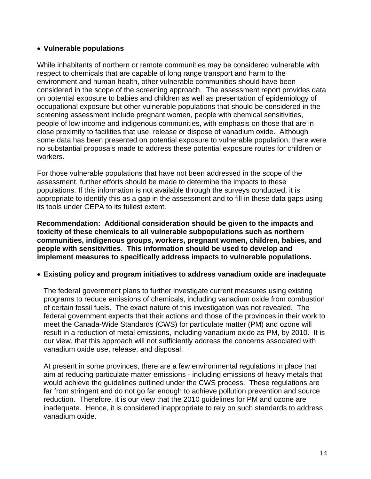# • **Vulnerable populations**

While inhabitants of northern or remote communities may be considered vulnerable with respect to chemicals that are capable of long range transport and harm to the environment and human health, other vulnerable communities should have been considered in the scope of the screening approach. The assessment report provides data on potential exposure to babies and children as well as presentation of epidemiology of occupational exposure but other vulnerable populations that should be considered in the screening assessment include pregnant women, people with chemical sensitivities, people of low income and indigenous communities, with emphasis on those that are in close proximity to facilities that use, release or dispose of vanadium oxide. Although some data has been presented on potential exposure to vulnerable population, there were no substantial proposals made to address these potential exposure routes for children or workers.

For those vulnerable populations that have not been addressed in the scope of the assessment, further efforts should be made to determine the impacts to these populations. If this information is not available through the surveys conducted, it is appropriate to identify this as a gap in the assessment and to fill in these data gaps using its tools under CEPA to its fullest extent.

**Recommendation: Additional consideration should be given to the impacts and toxicity of these chemicals to all vulnerable subpopulations such as northern communities, indigenous groups, workers, pregnant women, children, babies, and people with sensitivities**. **This information should be used to develop and implement measures to specifically address impacts to vulnerable populations.**

## • **Existing policy and program initiatives to address vanadium oxide are inadequate**

The federal government plans to further investigate current measures using existing programs to reduce emissions of chemicals, including vanadium oxide from combustion of certain fossil fuels. The exact nature of this investigation was not revealed. The federal government expects that their actions and those of the provinces in their work to meet the Canada-Wide Standards (CWS) for particulate matter (PM) and ozone will result in a reduction of metal emissions, including vanadium oxide as PM, by 2010. It is our view, that this approach will not sufficiently address the concerns associated with vanadium oxide use, release, and disposal.

At present in some provinces, there are a few environmental regulations in place that aim at reducing particulate matter emissions - including emissions of heavy metals that would achieve the guidelines outlined under the CWS process. These regulations are far from stringent and do not go far enough to achieve pollution prevention and source reduction. Therefore, it is our view that the 2010 guidelines for PM and ozone are inadequate. Hence, it is considered inappropriate to rely on such standards to address vanadium oxide.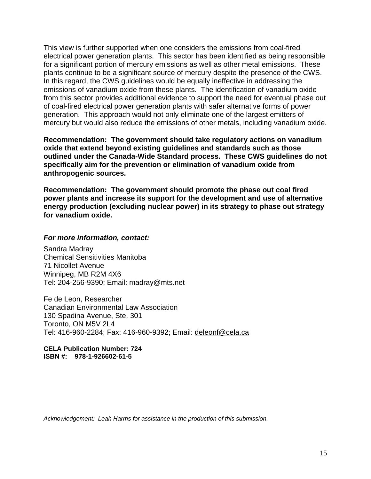This view is further supported when one considers the emissions from coal-fired electrical power generation plants. This sector has been identified as being responsible for a significant portion of mercury emissions as well as other metal emissions. These plants continue to be a significant source of mercury despite the presence of the CWS. In this regard, the CWS guidelines would be equally ineffective in addressing the emissions of vanadium oxide from these plants. The identification of vanadium oxide from this sector provides additional evidence to support the need for eventual phase out of coal-fired electrical power generation plants with safer alternative forms of power generation. This approach would not only eliminate one of the largest emitters of mercury but would also reduce the emissions of other metals, including vanadium oxide.

**Recommendation: The government should take regulatory actions on vanadium oxide that extend beyond existing guidelines and standards such as those outlined under the Canada-Wide Standard process. These CWS guidelines do not specifically aim for the prevention or elimination of vanadium oxide from anthropogenic sources.** 

**Recommendation: The government should promote the phase out coal fired power plants and increase its support for the development and use of alternative energy production (excluding nuclear power) in its strategy to phase out strategy for vanadium oxide.**

#### *For more information, contact:*

Sandra Madray Chemical Sensitivities Manitoba 71 Nicollet Avenue Winnipeg, MB R2M 4X6 Tel: 204-256-9390; Email: madray@mts.net

Fe de Leon, Researcher Canadian Environmental Law Association 130 Spadina Avenue, Ste. 301 Toronto, ON M5V 2L4 Tel: 416-960-2284; Fax: 416-960-9392; Email: [deleonf@cela.ca](mailto:deleonf@cela.ca)

**CELA Publication Number: 724 ISBN #: 978-1-926602-61-5** 

*Acknowledgement: Leah Harms for assistance in the production of this submission.*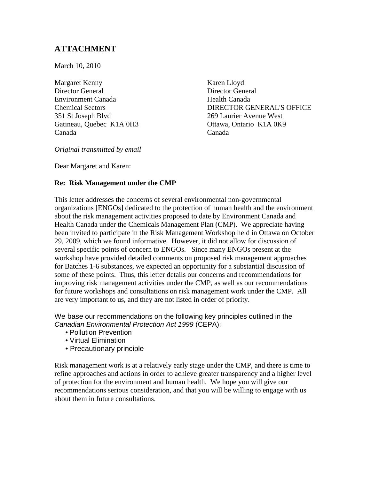# **ATTACHMENT**

March 10, 2010

Margaret Kenny Karen Lloyd Director General Director General Environment Canada Health Canada 351 St Joseph Blvd 269 Laurier Avenue West Gatineau, Ouebec K1A 0H3 Ottawa, Ontario K1A 0K9 Canada Canada

Chemical Sectors DIRECTOR GENERAL'S OFFICE

*Original transmitted by email* 

Dear Margaret and Karen:

## **Re: Risk Management under the CMP**

This letter addresses the concerns of several environmental non-governmental organizations [ENGOs] dedicated to the protection of human health and the environment about the risk management activities proposed to date by Environment Canada and Health Canada under the Chemicals Management Plan (CMP). We appreciate having been invited to participate in the Risk Management Workshop held in Ottawa on October 29, 2009, which we found informative. However, it did not allow for discussion of several specific points of concern to ENGOs. Since many ENGOs present at the workshop have provided detailed comments on proposed risk management approaches for Batches 1-6 substances, we expected an opportunity for a substantial discussion of some of these points. Thus, this letter details our concerns and recommendations for improving risk management activities under the CMP, as well as our recommendations for future workshops and consultations on risk management work under the CMP. All are very important to us, and they are not listed in order of priority.

We base our recommendations on the following key principles outlined in the *Canadian Environmental Protection Act 1999* (CEPA):

- Pollution Prevention
- Virtual Elimination
- Precautionary principle

Risk management work is at a relatively early stage under the CMP, and there is time to refine approaches and actions in order to achieve greater transparency and a higher level of protection for the environment and human health. We hope you will give our recommendations serious consideration, and that you will be willing to engage with us about them in future consultations.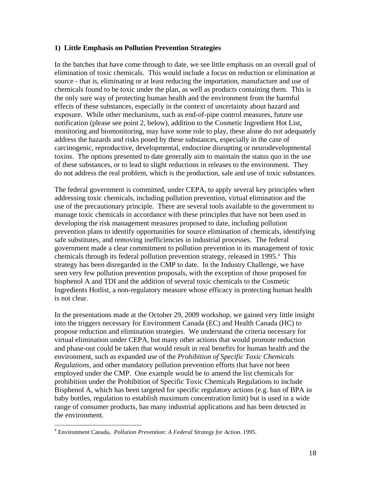#### <span id="page-18-0"></span>**1) Little Emphasis on Pollution Prevention Strategies**

In the batches that have come through to date, we see little emphasis on an overall goal of elimination of toxic chemicals. This would include a focus on reduction or elimination at source - that is, eliminating or at least reducing the importation, manufacture and use of chemicals found to be toxic under the plan, as well as products containing them. This is the only sure way of protecting human health and the environment from the harmful effects of these substances, especially in the context of uncertainty about hazard and exposure. While other mechanisms, such as end-of-pipe control measures, future use notification (please see point 2, below), addition to the Cosmetic Ingredient Hot List, monitoring and biomonitoring, may have some role to play, these alone do not adequately address the hazards and risks posed by these substances, especially in the case of carcinogenic, reproductive, developmental, endocrine disrupting or neurodevelopmental toxins. The options presented to date generally aim to maintain the status quo in the use of these substances, or to lead to slight reductions in releases to the environment. They do not address the real problem, which is the production, sale and use of toxic substances.

The federal government is committed, under CEPA, to apply several key principles when addressing toxic chemicals, including pollution prevention, virtual elimination and the use of the precautionary principle. There are several tools available to the government to manage toxic chemicals in accordance with these principles that have not been used in developing the risk management measures proposed to date, including pollution prevention plans to identify opportunities for source elimination of chemicals, identifying safe substitutes, and removing inefficiencies in industrial processes. The federal government made a clear commitment to pollution prevention in its management of toxic chemicals through its federal pollution prevention strategy, released in 1995.<sup>[4](#page-18-0)</sup> This strategy has been disregarded in the CMP to date. In the Industry Challenge, we have seen very few pollution prevention proposals, with the exception of those proposed for bisphenol A and TDI and the addition of several toxic chemicals to the Cosmetic Ingredients Hotlist, a non-regulatory measure whose efficacy in protecting human health is not clear.

In the presentations made at the October 29, 2009 workshop, we gained very little insight into the triggers necessary for Environment Canada (EC) and Health Canada (HC) to propose reduction and elimination strategies. We understand the criteria necessary for virtual elimination under CEPA, but many other actions that would promote reduction and phase-out could be taken that would result in real benefits for human health and the environment, such as expanded use of the *Prohibition of Specific Toxic Chemicals Regulations*, and other mandatory pollution prevention efforts that have not been employed under the CMP. One example would be to amend the list chemicals for prohibition under the Prohibition of Specific Toxic Chemicals Regulations to include Bisphenol A, which has been targeted for specific regulatory actions (e.g. ban of BPA in baby bottles, regulation to establish maximum concentration limit) but is used in a wide range of consumer products, has many industrial applications and has been detected in the environment.

 $\overline{a}$ 

<sup>4</sup> Environment Canada, *Pollution Prevention: A Federal Strategy for Action.* 1995.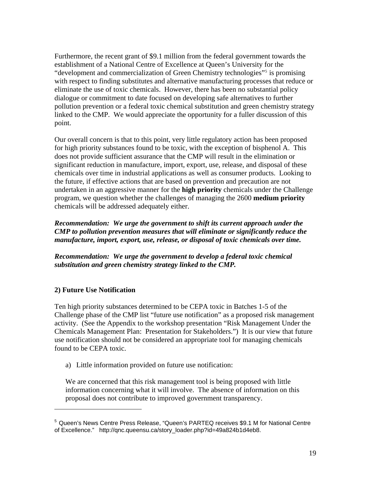<span id="page-19-0"></span>Furthermore, the recent grant of \$9.1 million from the federal government towards the establishment of a National Centre of Excellence at Queen's University for the "development and commercialization of Green Chemistry technologies"<sup>[5](#page-19-0)</sup> is promising with respect to finding substitutes and alternative manufacturing processes that reduce or eliminate the use of toxic chemicals. However, there has been no substantial policy dialogue or commitment to date focused on developing safe alternatives to further pollution prevention or a federal toxic chemical substitution and green chemistry strategy linked to the CMP. We would appreciate the opportunity for a fuller discussion of this point.

Our overall concern is that to this point, very little regulatory action has been proposed for high priority substances found to be toxic, with the exception of bisphenol A. This does not provide sufficient assurance that the CMP will result in the elimination or significant reduction in manufacture, import, export, use, release, and disposal of these chemicals over time in industrial applications as well as consumer products. Looking to the future, if effective actions that are based on prevention and precaution are not undertaken in an aggressive manner for the **high priority** chemicals under the Challenge program, we question whether the challenges of managing the 2600 **medium priority** chemicals will be addressed adequately either.

*Recommendation: We urge the government to shift its current approach under the CMP to pollution prevention measures that will eliminate or significantly reduce the manufacture, import, export, use, release, or disposal of toxic chemicals over time.* 

*Recommendation: We urge the government to develop a federal toxic chemical substitution and green chemistry strategy linked to the CMP.* 

# **2) Future Use Notification**

 $\overline{a}$ 

Ten high priority substances determined to be CEPA toxic in Batches 1-5 of the Challenge phase of the CMP list "future use notification" as a proposed risk management activity. (See the Appendix to the workshop presentation "Risk Management Under the Chemicals Management Plan: Presentation for Stakeholders.") It is our view that future use notification should not be considered an appropriate tool for managing chemicals found to be CEPA toxic.

a) Little information provided on future use notification:

We are concerned that this risk management tool is being proposed with little information concerning what it will involve. The absence of information on this proposal does not contribute to improved government transparency.

<sup>5</sup> Queen's News Centre Press Release, "Queen's PARTEQ receives \$9.1 M for National Centre of Excellence." http://gnc.queensu.ca/story\_loader.php?id=49a824b1d4eb8.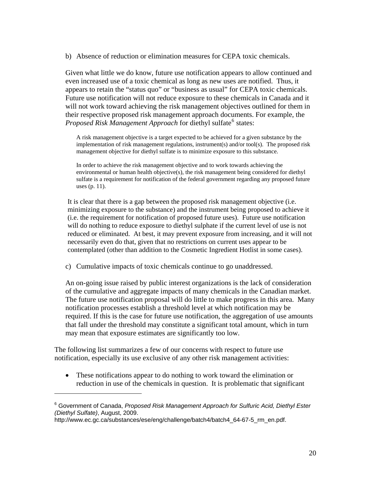<span id="page-20-0"></span>b) Absence of reduction or elimination measures for CEPA toxic chemicals.

Given what little we do know, future use notification appears to allow continued and even increased use of a toxic chemical as long as new uses are notified. Thus, it appears to retain the "status quo" or "business as usual" for CEPA toxic chemicals. Future use notification will not reduce exposure to these chemicals in Canada and it will not work toward achieving the risk management objectives outlined for them in their respective proposed risk management approach documents. For example, the *Proposed Risk Management Approach* for diethyl sulfate<sup>[6](#page-20-0)</sup> states:

A risk management objective is a target expected to be achieved for a given substance by the implementation of risk management regulations, instrument(s) and/or tool(s). The proposed risk management objective for diethyl sulfate is to minimize exposure to this substance.

In order to achieve the risk management objective and to work towards achieving the environmental or human health objective(s), the risk management being considered for diethyl sulfate is a requirement for notification of the federal government regarding any proposed future uses (p. 11).

It is clear that there is a gap between the proposed risk management objective (i.e. minimizing exposure to the substance) and the instrument being proposed to achieve it (i.e. the requirement for notification of proposed future uses). Future use notification will do nothing to reduce exposure to diethyl sulphate if the current level of use is not reduced or eliminated. At best, it may prevent exposure from increasing, and it will not necessarily even do that, given that no restrictions on current uses appear to be contemplated (other than addition to the Cosmetic Ingredient Hotlist in some cases).

c) Cumulative impacts of toxic chemicals continue to go unaddressed.

An on-going issue raised by public interest organizations is the lack of consideration of the cumulative and aggregate impacts of many chemicals in the Canadian market. The future use notification proposal will do little to make progress in this area. Many notification processes establish a threshold level at which notification may be required. If this is the case for future use notification, the aggregation of use amounts that fall under the threshold may constitute a significant total amount, which in turn may mean that exposure estimates are significantly too low.

The following list summarizes a few of our concerns with respect to future use notification, especially its use exclusive of any other risk management activities:

• These notifications appear to do nothing to work toward the elimination or reduction in use of the chemicals in question. It is problematic that significant

 $\overline{a}$ 

<sup>&</sup>lt;sup>6</sup> Government of Canada, *Proposed Risk Management Approach for Sulfuric Acid, Diethyl Ester (Diethyl Sulfate)*, August, 2009.

http://www.ec.gc.ca/substances/ese/eng/challenge/batch4/batch4 64-67-5 rm en.pdf.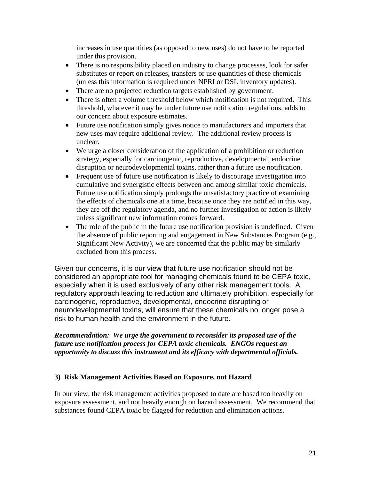increases in use quantities (as opposed to new uses) do not have to be reported under this provision.

- There is no responsibility placed on industry to change processes, look for safer substitutes or report on releases, transfers or use quantities of these chemicals (unless this information is required under NPRI or DSL inventory updates).
- There are no projected reduction targets established by government.
- There is often a volume threshold below which notification is not required. This threshold, whatever it may be under future use notification regulations, adds to our concern about exposure estimates.
- Future use notification simply gives notice to manufacturers and importers that new uses may require additional review. The additional review process is unclear.
- We urge a closer consideration of the application of a prohibition or reduction strategy, especially for carcinogenic, reproductive, developmental, endocrine disruption or neurodevelopmental toxins, rather than a future use notification.
- Frequent use of future use notification is likely to discourage investigation into cumulative and synergistic effects between and among similar toxic chemicals. Future use notification simply prolongs the unsatisfactory practice of examining the effects of chemicals one at a time, because once they are notified in this way, they are off the regulatory agenda, and no further investigation or action is likely unless significant new information comes forward.
- The role of the public in the future use notification provision is undefined. Given the absence of public reporting and engagement in New Substances Program (e.g., Significant New Activity), we are concerned that the public may be similarly excluded from this process.

Given our concerns, it is our view that future use notification should not be considered an appropriate tool for managing chemicals found to be CEPA toxic, especially when it is used exclusively of any other risk management tools. A regulatory approach leading to reduction and ultimately prohibition, especially for carcinogenic, reproductive, developmental, endocrine disrupting or neurodevelopmental toxins, will ensure that these chemicals no longer pose a risk to human health and the environment in the future.

## *Recommendation: We urge the government to reconsider its proposed use of the future use notification process for CEPA toxic chemicals. ENGOs request an opportunity to discuss this instrument and its efficacy with departmental officials.*

## **3) Risk Management Activities Based on Exposure, not Hazard**

In our view, the risk management activities proposed to date are based too heavily on exposure assessment, and not heavily enough on hazard assessment. We recommend that substances found CEPA toxic be flagged for reduction and elimination actions.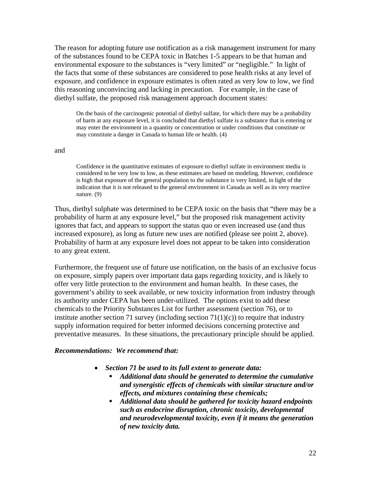The reason for adopting future use notification as a risk management instrument for many of the substances found to be CEPA toxic in Batches 1-5 appears to be that human and environmental exposure to the substances is "very limited" or "negligible." In light of the facts that some of these substances are considered to pose health risks at any level of exposure, and confidence in exposure estimates is often rated as very low to low, we find this reasoning unconvincing and lacking in precaution. For example, in the case of diethyl sulfate, the proposed risk management approach document states:

On the basis of the carcinogenic potential of diethyl sulfate, for which there may be a probability of harm at any exposure level, it is concluded that diethyl sulfate is a substance that is entering or may enter the environment in a quantity or concentration or under conditions that constitute or may constitute a danger in Canada to human life or health. (4)

#### and

Confidence in the quantitative estimates of exposure to diethyl sulfate in environment media is considered to be very low to low, as these estimates are based on modeling. However, confidence is high that exposure of the general population to the substance is very limited, in light of the indication that it is not released to the general environment in Canada as well as its very reactive nature. (9)

Thus, diethyl sulphate was determined to be CEPA toxic on the basis that "there may be a probability of harm at any exposure level," but the proposed risk management activity ignores that fact, and appears to support the status quo or even increased use (and thus increased exposure), as long as future new uses are notified (please see point 2, above). Probability of harm at any exposure level does not appear to be taken into consideration to any great extent.

Furthermore, the frequent use of future use notification, on the basis of an exclusive focus on exposure, simply papers over important data gaps regarding toxicity, and is likely to offer very little protection to the environment and human health. In these cases, the government's ability to seek available, or new toxicity information from industry through its authority under CEPA has been under-utilized. The options exist to add these chemicals to the Priority Substances List for further assessment (section 76), or to institute another section 71 survey (including section  $71(1)(c)$ ) to require that industry supply information required for better informed decisions concerning protective and preventative measures. In these situations, the precautionary principle should be applied.

#### *Recommendations: We recommend that:*

- *Section 71 be used to its full extent to generate data:* 
	- *Additional data should be generated to determine the cumulative and synergistic effects of chemicals with similar structure and/or effects, and mixtures containing these chemicals;*
	- *Additional data should be gathered for toxicity hazard endpoints such as endocrine disruption, chronic toxicity, developmental and neurodevelopmental toxicity, even if it means the generation of new toxicity data.*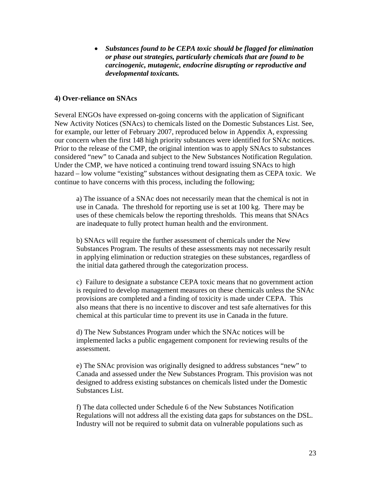• *Substances found to be CEPA toxic should be flagged for elimination or phase out strategies, particularly chemicals that are found to be carcinogenic, mutagenic, endocrine disrupting or reproductive and developmental toxicants.*

#### **4) Over-reliance on SNAcs**

Several ENGOs have expressed on-going concerns with the application of Significant New Activity Notices (SNAcs) to chemicals listed on the Domestic Substances List. See, for example, our letter of February 2007, reproduced below in Appendix A, expressing our concern when the first 148 high priority substances were identified for SNAc notices. Prior to the release of the CMP, the original intention was to apply SNAcs to substances considered "new" to Canada and subject to the New Substances Notification Regulation. Under the CMP, we have noticed a continuing trend toward issuing SNAcs to high hazard – low volume "existing" substances without designating them as CEPA toxic. We continue to have concerns with this process, including the following;

a) The issuance of a SNAc does not necessarily mean that the chemical is not in use in Canada. The threshold for reporting use is set at 100 kg. There may be uses of these chemicals below the reporting thresholds. This means that SNAcs are inadequate to fully protect human health and the environment.

b) SNAcs will require the further assessment of chemicals under the New Substances Program. The results of these assessments may not necessarily result in applying elimination or reduction strategies on these substances, regardless of the initial data gathered through the categorization process.

c) Failure to designate a substance CEPA toxic means that no government action is required to develop management measures on these chemicals unless the SNAc provisions are completed and a finding of toxicity is made under CEPA. This also means that there is no incentive to discover and test safe alternatives for this chemical at this particular time to prevent its use in Canada in the future.

d) The New Substances Program under which the SNAc notices will be implemented lacks a public engagement component for reviewing results of the assessment.

e) The SNAc provision was originally designed to address substances "new" to Canada and assessed under the New Substances Program. This provision was not designed to address existing substances on chemicals listed under the Domestic Substances List.

f) The data collected under Schedule 6 of the New Substances Notification Regulations will not address all the existing data gaps for substances on the DSL. Industry will not be required to submit data on vulnerable populations such as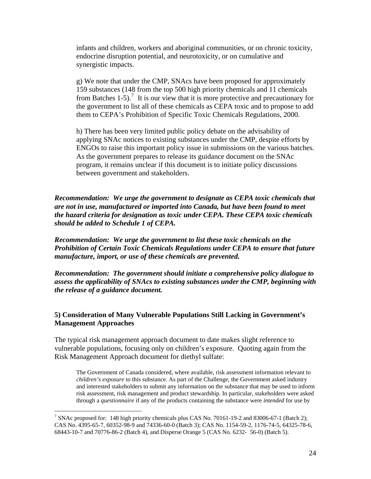<span id="page-24-0"></span>infants and children, workers and aboriginal communities, or on chronic toxicity, endocrine disruption potential, and neurotoxicity, or on cumulative and synergistic impacts.

g) We note that under the CMP, SNAcs have been proposed for approximately 159 substances (148 from the top 500 high priority chemicals and 11 chemicals from Batches  $1-5$ ).<sup>[7](#page-24-0)</sup> It is our view that it is more protective and precautionary for the government to list all of these chemicals as CEPA toxic and to propose to add them to CEPA's Prohibition of Specific Toxic Chemicals Regulations, 2000.

h) There has been very limited public policy debate on the advisability of applying SNAc notices to existing substances under the CMP, despite efforts by ENGOs to raise this important policy issue in submissions on the various batches. As the government prepares to release its guidance document on the SNAc program, it remains unclear if this document is to initiate policy discussions between government and stakeholders.

*Recommendation: We urge the government to designate as CEPA toxic chemicals that are not in use, manufactured or imported into Canada, but have been found to meet the hazard criteria for designation as toxic under CEPA. These CEPA toxic chemicals should be added to Schedule 1 of CEPA.* 

*Recommendation: We urge the government to list these toxic chemicals on the Prohibition of Certain Toxic Chemicals Regulations under CEPA to ensure that future manufacture, import, or use of these chemicals are prevented.* 

*Recommendation: The government should initiate a comprehensive policy dialogue to assess the applicability of SNAcs to existing substances under the CMP, beginning with the release of a guidance document.* 

#### **5) Consideration of Many Vulnerable Populations Still Lacking in Government's Management Approaches**

The typical risk management approach document to date makes slight reference to vulnerable populations, focusing only on children's exposure. Quoting again from the Risk Management Approach document for diethyl sulfate:

The Government of Canada considered, where available, risk assessment information relevant to *children's exposure* to this substance. As part of the Challenge, the Government asked industry and interested stakeholders to submit any information on the substance that may be used to inform risk assessment, risk management and product stewardship. In particular, stakeholders were asked through a *questionnaire* if any of the products containing the substance were *intended* for use by

 $\overline{a}$ 

<sup>&</sup>lt;sup>7</sup> SNAc proposed for: 148 high priority chemicals plus CAS No. 70161-19-2 and 83006-67-1 (Batch 2); CAS No. 4395-65-7, 60352-98-9 and 74336-60-0 (Batch 3); CAS No. 1154-59-2, 1176-74-5, 64325-78-6, 68443-10-7 and 70776-86-2 (Batch 4), and Disperse Orange 5 (CAS No. 6232- 56-0) (Batch 5).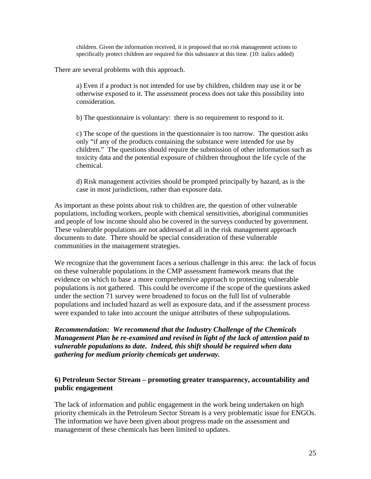children. Given the information received, it is proposed that no risk management actions to specifically protect children are required for this substance at this time. (10: italics added)

There are several problems with this approach.

a) Even if a product is not intended for use by children, children may use it or be otherwise exposed to it. The assessment process does not take this possibility into consideration.

b) The questionnaire is voluntary: there is no requirement to respond to it.

c) The scope of the questions in the questionnaire is too narrow. The question asks only "if any of the products containing the substance were intended for use by children." The questions should require the submission of other information such as toxicity data and the potential exposure of children throughout the life cycle of the chemical.

d) Risk management activities should be prompted principally by hazard, as is the case in most jurisdictions, rather than exposure data.

As important as these points about risk to children are, the question of other vulnerable populations, including workers, people with chemical sensitivities, aboriginal communities and people of low income should also be covered in the surveys conducted by government. These vulnerable populations are not addressed at all in the risk management approach documents to date. There should be special consideration of these vulnerable communities in the management strategies.

We recognize that the government faces a serious challenge in this area: the lack of focus on these vulnerable populations in the CMP assessment framework means that the evidence on which to base a more comprehensive approach to protecting vulnerable populations is not gathered. This could be overcome if the scope of the questions asked under the section 71 survey were broadened to focus on the full list of vulnerable populations and included hazard as well as exposure data, and if the assessment process were expanded to take into account the unique attributes of these subpopulations.

*Recommendation: We recommend that the Industry Challenge of the Chemicals Management Plan be re-examined and revised in light of the lack of attention paid to vulnerable populations to date. Indeed, this shift should be required when data gathering for medium priority chemicals get underway.* 

#### **6) Petroleum Sector Stream – promoting greater transparency, accountability and public engagement**

The lack of information and public engagement in the work being undertaken on high priority chemicals in the Petroleum Sector Stream is a very problematic issue for ENGOs. The information we have been given about progress made on the assessment and management of these chemicals has been limited to updates.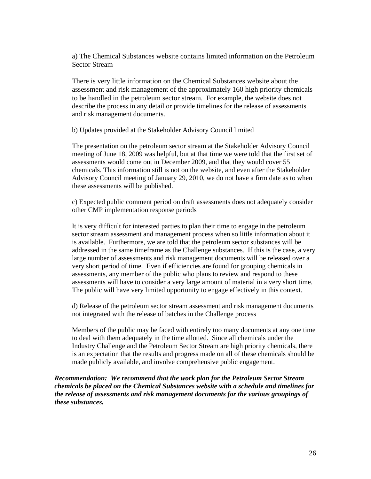a) The Chemical Substances website contains limited information on the Petroleum Sector Stream

There is very little information on the Chemical Substances website about the assessment and risk management of the approximately 160 high priority chemicals to be handled in the petroleum sector stream. For example, the website does not describe the process in any detail or provide timelines for the release of assessments and risk management documents.

b) Updates provided at the Stakeholder Advisory Council limited

The presentation on the petroleum sector stream at the Stakeholder Advisory Council meeting of June 18, 2009 was helpful, but at that time we were told that the first set of assessments would come out in December 2009, and that they would cover 55 chemicals. This information still is not on the website, and even after the Stakeholder Advisory Council meeting of January 29, 2010, we do not have a firm date as to when these assessments will be published.

c) Expected public comment period on draft assessments does not adequately consider other CMP implementation response periods

It is very difficult for interested parties to plan their time to engage in the petroleum sector stream assessment and management process when so little information about it is available. Furthermore, we are told that the petroleum sector substances will be addressed in the same timeframe as the Challenge substances. If this is the case, a very large number of assessments and risk management documents will be released over a very short period of time. Even if efficiencies are found for grouping chemicals in assessments, any member of the public who plans to review and respond to these assessments will have to consider a very large amount of material in a very short time. The public will have very limited opportunity to engage effectively in this context.

d) Release of the petroleum sector stream assessment and risk management documents not integrated with the release of batches in the Challenge process

Members of the public may be faced with entirely too many documents at any one time to deal with them adequately in the time allotted. Since all chemicals under the Industry Challenge and the Petroleum Sector Stream are high priority chemicals, there is an expectation that the results and progress made on all of these chemicals should be made publicly available, and involve comprehensive public engagement.

*Recommendation: We recommend that the work plan for the Petroleum Sector Stream chemicals be placed on the Chemical Substances website with a schedule and timelines for the release of assessments and risk management documents for the various groupings of these substances.*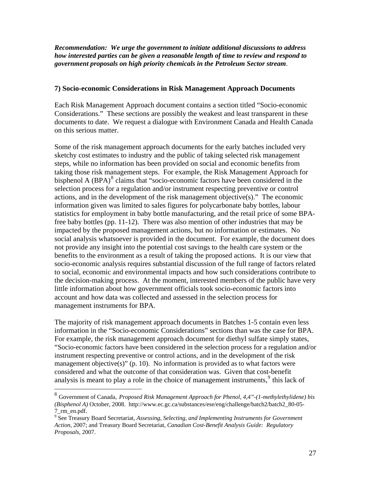<span id="page-27-0"></span>*Recommendation: We urge the government to initiate additional discussions to address how interested parties can be given a reasonable length of time to review and respond to government proposals on high priority chemicals in the Petroleum Sector stream*.

#### **7) Socio-economic Considerations in Risk Management Approach Documents**

Each Risk Management Approach document contains a section titled "Socio-economic Considerations." These sections are possibly the weakest and least transparent in these documents to date. We request a dialogue with Environment Canada and Health Canada on this serious matter.

Some of the risk management approach documents for the early batches included very sketchy cost estimates to industry and the public of taking selected risk management steps, while no information has been provided on social and economic benefits from taking those risk management steps. For example, the Risk Management Approach for bisphenol A  $(BPA)^8$  $(BPA)^8$  claims that "socio-economic factors have been considered in the selection process for a regulation and/or instrument respecting preventive or control actions, and in the development of the risk management objective(s)." The economic information given was limited to sales figures for polycarbonate baby bottles, labour statistics for employment in baby bottle manufacturing, and the retail price of some BPAfree baby bottles (pp. 11-12). There was also mention of other industries that may be impacted by the proposed management actions, but no information or estimates. No social analysis whatsoever is provided in the document. For example, the document does not provide any insight into the potential cost savings to the health care system or the benefits to the environment as a result of taking the proposed actions. It is our view that socio-economic analysis requires substantial discussion of the full range of factors related to social, economic and environmental impacts and how such considerations contribute to the decision-making process. At the moment, interested members of the public have very little information about how government officials took socio-economic factors into account and how data was collected and assessed in the selection process for management instruments for BPA.

The majority of risk management approach documents in Batches 1-5 contain even less information in the "Socio-economic Considerations" sections than was the case for BPA. For example, the risk management approach document for diethyl sulfate simply states, "Socio-economic factors have been considered in the selection process for a regulation and/or instrument respecting preventive or control actions, and in the development of the risk management objective(s)" (p. 10). No information is provided as to what factors were considered and what the outcome of that consideration was. Given that cost-benefit analysis is meant to play a role in the choice of management instruments,  $9$  this lack of

 $\overline{a}$ 

<sup>8</sup> Government of Canada, *Proposed Risk Management Approach for Phenol, 4,4"-(1-methylethylidene) bis (Bisphenol A)* October, 2008. http://www.ec.gc.ca/substances/ese/eng/challenge/batch2/batch2\_80-05- 7\_rm\_en.pdf.

<sup>9</sup> See Treasury Board Secretariat, *Assessing, Selecting, and Implementing Instruments for Government Action,* 2007; and Treasury Board Secretariat, *Canadian Cost-Benefit Analysis Guide: Regulatory Proposals*, 2007.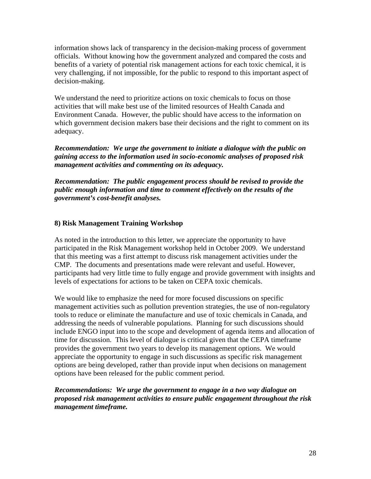information shows lack of transparency in the decision-making process of government officials. Without knowing how the government analyzed and compared the costs and benefits of a variety of potential risk management actions for each toxic chemical, it is very challenging, if not impossible, for the public to respond to this important aspect of decision-making.

We understand the need to prioritize actions on toxic chemicals to focus on those activities that will make best use of the limited resources of Health Canada and Environment Canada. However, the public should have access to the information on which government decision makers base their decisions and the right to comment on its adequacy.

*Recommendation: We urge the government to initiate a dialogue with the public on gaining access to the information used in socio-economic analyses of proposed risk management activities and commenting on its adequacy.* 

*Recommendation: The public engagement process should be revised to provide the public enough information and time to comment effectively on the results of the government's cost-benefit analyses.* 

#### **8) Risk Management Training Workshop**

As noted in the introduction to this letter, we appreciate the opportunity to have participated in the Risk Management workshop held in October 2009. We understand that this meeting was a first attempt to discuss risk management activities under the CMP. The documents and presentations made were relevant and useful. However, participants had very little time to fully engage and provide government with insights and levels of expectations for actions to be taken on CEPA toxic chemicals.

We would like to emphasize the need for more focused discussions on specific management activities such as pollution prevention strategies, the use of non-regulatory tools to reduce or eliminate the manufacture and use of toxic chemicals in Canada, and addressing the needs of vulnerable populations. Planning for such discussions should include ENGO input into to the scope and development of agenda items and allocation of time for discussion. This level of dialogue is critical given that the CEPA timeframe provides the government two years to develop its management options. We would appreciate the opportunity to engage in such discussions as specific risk management options are being developed, rather than provide input when decisions on management options have been released for the public comment period.

*Recommendations: We urge the government to engage in a two way dialogue on proposed risk management activities to ensure public engagement throughout the risk management timeframe.*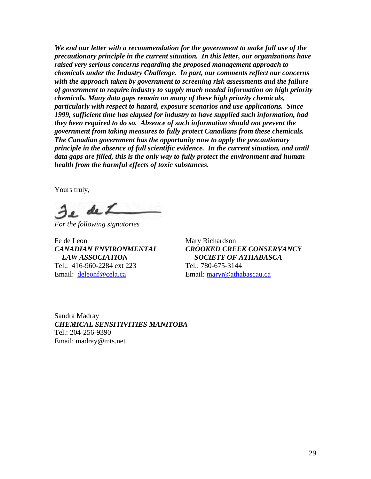*We end our letter with a recommendation for the government to make full use of the precautionary principle in the current situation. In this letter, our organizations have raised very serious concerns regarding the proposed management approach to chemicals under the Industry Challenge. In part, our comments reflect our concerns with the approach taken by government to screening risk assessments and the failure of government to require industry to supply much needed information on high priority chemicals. Many data gaps remain on many of these high priority chemicals, particularly with respect to hazard, exposure scenarios and use applications. Since 1999, sufficient time has elapsed for industry to have supplied such information, had they been required to do so. Absence of such information should not prevent the government from taking measures to fully protect Canadians from these chemicals. The Canadian government has the opportunity now to apply the precautionary principle in the absence of full scientific evidence. In the current situation, and until data gaps are filled, this is the only way to fully protect the environment and human health from the harmful effects of toxic substances.* 

Yours truly,

Je de L

*For the following signatories* 

Fe de Leon Mary Richardson Tel.: 416-960-2284 ext 223 Tel.: 780-675-3144 Email: [deleonf@cela.ca](mailto:deleonf@cela.ca) Email: [maryr@athabascau.ca](mailto:maryr@athabascau.ca)

*CANADIAN ENVIRONMENTAL CROOKED CREEK CONSERVANCY LAW ASSOCIATION SOCIETY OF ATHABASCA* 

Sandra Madray *CHEMICAL SENSITIVITIES MANITOBA*  Tel.: 204-256-9390 Email: madray@mts.net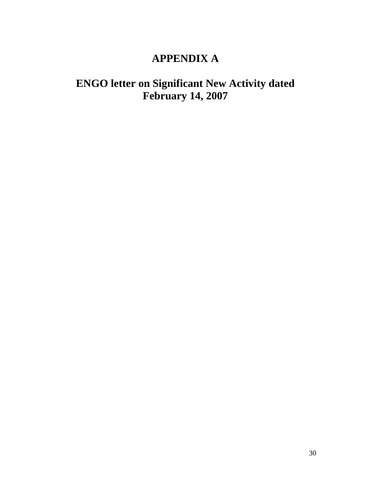# **APPENDIX A**

# **ENGO letter on Significant New Activity dated February 14, 2007**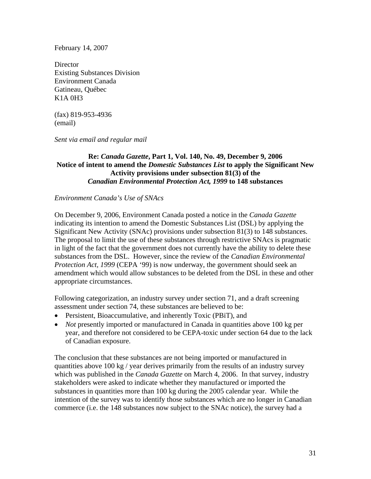February 14, 2007

**Director** Existing Substances Division Environment Canada Gatineau, Québec K1A 0H3

(fax) 819-953-4936 (email)

*Sent via email and regular mail* 

## **Re:** *Canada Gazette***, Part 1, Vol. 140, No. 49, December 9, 2006 Notice of intent to amend the** *Domestic Substances List* **to apply the Significant New Activity provisions under subsection 81(3) of the**  *Canadian Environmental Protection Act, 1999* **to 148 substances**

#### *Environment Canada's Use of SNAcs*

On December 9, 2006, Environment Canada posted a notice in the *Canada Gazette* indicating its intention to amend the Domestic Substances List (DSL) by applying the Significant New Activity (SNAc) provisions under subsection 81(3) to 148 substances. The proposal to limit the use of these substances through restrictive SNAcs is pragmatic in light of the fact that the government does not currently have the ability to delete these substances from the DSL. However, since the review of the *Canadian Environmental Protection Act, 1999* (CEPA '99) is now underway, the government should seek an amendment which would allow substances to be deleted from the DSL in these and other appropriate circumstances.

Following categorization, an industry survey under section 71, and a draft screening assessment under section 74, these substances are believed to be:

- Persistent, Bioaccumulative, and inherently Toxic (PBiT), and
- *Not* presently imported or manufactured in Canada in quantities above 100 kg per year, and therefore not considered to be CEPA-toxic under section 64 due to the lack of Canadian exposure.

The conclusion that these substances are not being imported or manufactured in quantities above 100 kg / year derives primarily from the results of an industry survey which was published in the *Canada Gazette* on March 4, 2006. In that survey, industry stakeholders were asked to indicate whether they manufactured or imported the substances in quantities more than 100 kg during the 2005 calendar year. While the intention of the survey was to identify those substances which are no longer in Canadian commerce (i.e. the 148 substances now subject to the SNAc notice), the survey had a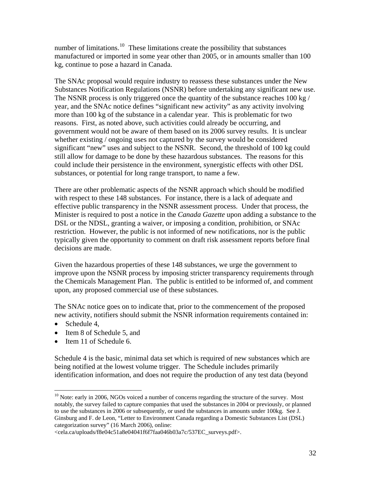<span id="page-32-0"></span>number of limitations.<sup>[10](#page-32-0)</sup> These limitations create the possibility that substances manufactured or imported in some year other than 2005, or in amounts smaller than 100 kg, continue to pose a hazard in Canada.

The SNAc proposal would require industry to reassess these substances under the New Substances Notification Regulations (NSNR) before undertaking any significant new use. The NSNR process is only triggered once the quantity of the substance reaches 100 kg / year, and the SNAc notice defines "significant new activity" as any activity involving more than 100 kg of the substance in a calendar year. This is problematic for two reasons. First, as noted above, such activities could already be occurring, and government would not be aware of them based on its 2006 survey results. It is unclear whether existing / ongoing uses not captured by the survey would be considered significant "new" uses and subject to the NSNR. Second, the threshold of 100 kg could still allow for damage to be done by these hazardous substances. The reasons for this could include their persistence in the environment, synergistic effects with other DSL substances, or potential for long range transport, to name a few.

There are other problematic aspects of the NSNR approach which should be modified with respect to these 148 substances. For instance, there is a lack of adequate and effective public transparency in the NSNR assessment process. Under that process, the Minister is required to post a notice in the *Canada Gazette* upon adding a substance to the DSL or the NDSL, granting a waiver, or imposing a condition, prohibition, or SNAc restriction. However, the public is not informed of new notifications, nor is the public typically given the opportunity to comment on draft risk assessment reports before final decisions are made.

Given the hazardous properties of these 148 substances, we urge the government to improve upon the NSNR process by imposing stricter transparency requirements through the Chemicals Management Plan. The public is entitled to be informed of, and comment upon, any proposed commercial use of these substances.

The SNAc notice goes on to indicate that, prior to the commencement of the proposed new activity, notifiers should submit the NSNR information requirements contained in:

• Schedule 4,

 $\overline{a}$ 

- Item 8 of Schedule 5, and
- Item 11 of Schedule 6.

Schedule 4 is the basic, minimal data set which is required of new substances which are being notified at the lowest volume trigger. The Schedule includes primarily identification information, and does not require the production of any test data (beyond

 $10$  Note: early in 2006, NGOs voiced a number of concerns regarding the structure of the survey. Most notably, the survey failed to capture companies that used the substances in 2004 or previously, or planned to use the substances in 2006 or subsequently, or used the substances in amounts under 100kg. See J. Ginsburg and F. de Leon, "Letter to Environment Canada regarding a Domestic Substances List (DSL) categorization survey" (16 March 2006), online:

<sup>&</sup>lt;cela.ca/uploads/f8e04c51a8e04041f6f7faa046b03a7c/537EC\_surveys.pdf>.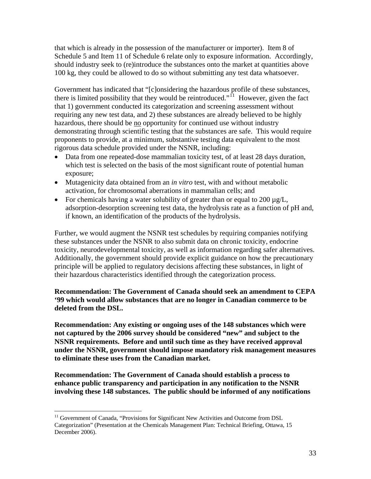<span id="page-33-0"></span>that which is already in the possession of the manufacturer or importer). Item 8 of Schedule 5 and Item 11 of Schedule 6 relate only to exposure information. Accordingly, should industry seek to (re)introduce the substances onto the market at quantities above 100 kg, they could be allowed to do so without submitting any test data whatsoever.

Government has indicated that "[c]onsidering the hazardous profile of these substances, there is limited possibility that they would be reintroduced." $\hat{I}$  However, given the fact that 1) government conducted its categorization and screening assessment without requiring any new test data, and 2) these substances are already believed to be highly hazardous, there should be no opportunity for continued use without industry demonstrating through scientific testing that the substances are safe. This would require proponents to provide, at a minimum, substantive testing data equivalent to the most rigorous data schedule provided under the NSNR, including:

- Data from one repeated-dose mammalian toxicity test, of at least 28 days duration, which test is selected on the basis of the most significant route of potential human exposure;
- Mutagenicity data obtained from an *in vitro* test, with and without metabolic activation, for chromosomal aberrations in mammalian cells; and
- For chemicals having a water solubility of greater than or equal to 200  $\mu$ g/L, adsorption-desorption screening test data, the hydrolysis rate as a function of pH and, if known, an identification of the products of the hydrolysis.

Further, we would augment the NSNR test schedules by requiring companies notifying these substances under the NSNR to also submit data on chronic toxicity, endocrine toxicity, neurodevelopmental toxicity, as well as information regarding safer alternatives. Additionally, the government should provide explicit guidance on how the precautionary principle will be applied to regulatory decisions affecting these substances, in light of their hazardous characteristics identified through the categorization process.

# **Recommendation: The Government of Canada should seek an amendment to CEPA '99 which would allow substances that are no longer in Canadian commerce to be deleted from the DSL.**

**Recommendation: Any existing or ongoing uses of the 148 substances which were not captured by the 2006 survey should be considered "new" and subject to the NSNR requirements. Before and until such time as they have received approval under the NSNR, government should impose mandatory risk management measures to eliminate these uses from the Canadian market.** 

**Recommendation: The Government of Canada should establish a process to enhance public transparency and participation in any notification to the NSNR involving these 148 substances. The public should be informed of any notifications** 

 $\overline{a}$ 

<sup>&</sup>lt;sup>11</sup> Government of Canada, "Provisions for Significant New Activities and Outcome from DSL Categorization" (Presentation at the Chemicals Management Plan: Technical Briefing, Ottawa, 15 December 2006).